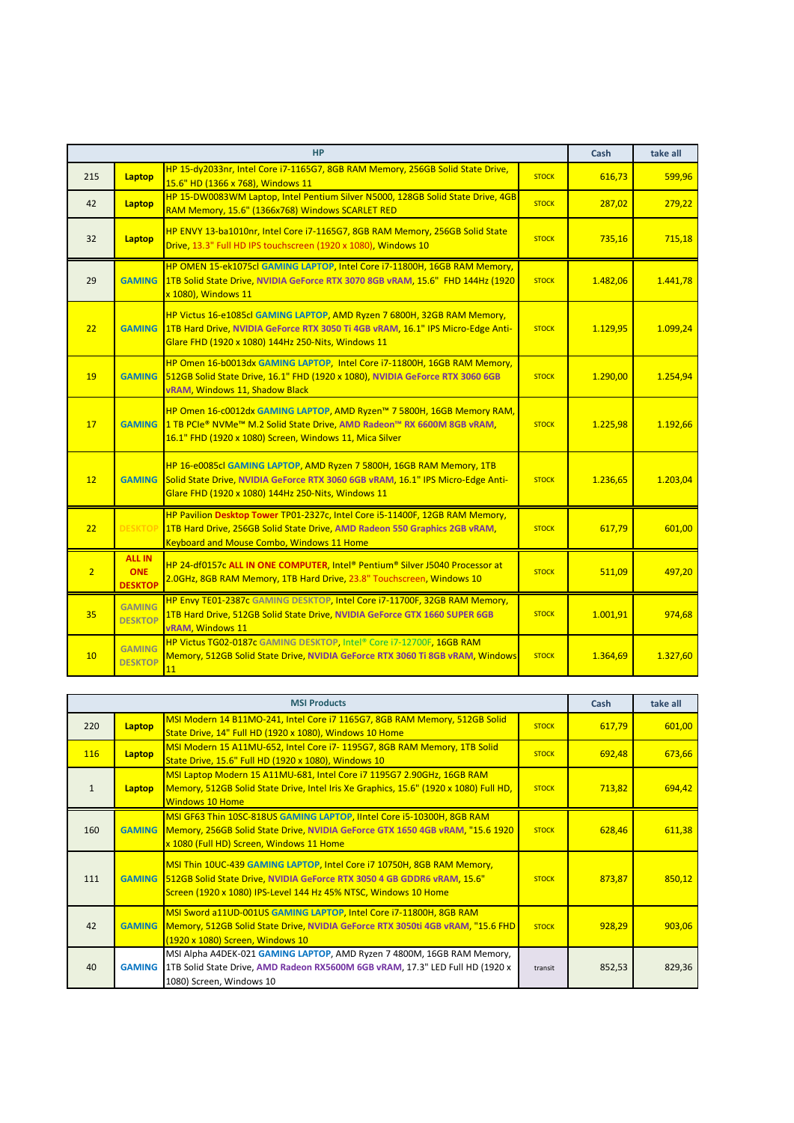|                |                                               | <b>HP</b>                                                                                                                                                                                                        |              | Cash     | take all |
|----------------|-----------------------------------------------|------------------------------------------------------------------------------------------------------------------------------------------------------------------------------------------------------------------|--------------|----------|----------|
| 215            | Laptop                                        | HP 15-dy2033nr, Intel Core i7-1165G7, 8GB RAM Memory, 256GB Solid State Drive,<br>15.6" HD (1366 x 768), Windows 11                                                                                              | <b>STOCK</b> | 616,73   | 599,96   |
| 42             | Laptop                                        | HP 15-DW0083WM Laptop, Intel Pentium Silver N5000, 128GB Solid State Drive, 4GB<br>RAM Memory, 15.6" (1366x768) Windows SCARLET RED                                                                              | <b>STOCK</b> | 287,02   | 279,22   |
| 32             | Laptop                                        | HP ENVY 13-ba1010nr, Intel Core i7-1165G7, 8GB RAM Memory, 256GB Solid State<br>Drive, 13.3" Full HD IPS touchscreen (1920 x 1080), Windows 10                                                                   | <b>STOCK</b> | 735,16   | 715,18   |
| 29             | <b>GAMING</b>                                 | HP OMEN 15-ek1075cl GAMING LAPTOP, Intel Core i7-11800H, 16GB RAM Memory,<br>1TB Solid State Drive, NVIDIA GeForce RTX 3070 8GB vRAM, 15.6" FHD 144Hz (1920<br>x 1080), Windows 11                               | <b>STOCK</b> | 1.482,06 | 1.441,78 |
| 22             | <b>GAMING</b>                                 | HP Victus 16-e1085cl GAMING LAPTOP, AMD Ryzen 7 6800H, 32GB RAM Memory,<br>1TB Hard Drive, NVIDIA GeForce RTX 3050 Ti 4GB vRAM, 16.1" IPS Micro-Edge Anti-<br>Glare FHD (1920 x 1080) 144Hz 250-Nits, Windows 11 | <b>STOCK</b> | 1.129,95 | 1.099,24 |
| 19             | <b>GAMING</b>                                 | HP Omen 16-b0013dx GAMING LAPTOP, Intel Core i7-11800H, 16GB RAM Memory,<br>512GB Solid State Drive, 16.1" FHD (1920 x 1080), NVIDIA GeForce RTX 3060 6GB<br>vRAM, Windows 11, Shadow Black                      | <b>STOCK</b> | 1.290,00 | 1.254,94 |
| 17             | <b>GAMING</b>                                 | HP Omen 16-c0012dx GAMING LAPTOP, AMD Ryzen™ 7 5800H, 16GB Memory RAM,<br>1 TB PCIe® NVMe™ M.2 Solid State Drive, AMD Radeon™ RX 6600M 8GB vRAM,<br>16.1" FHD (1920 x 1080) Screen, Windows 11, Mica Silver      | <b>STOCK</b> | 1.225,98 | 1.192,66 |
| 12             | <b>GAMING</b>                                 | HP 16-e0085cl GAMING LAPTOP, AMD Ryzen 7 5800H, 16GB RAM Memory, 1TB<br>Solid State Drive, NVIDIA GeForce RTX 3060 6GB vRAM, 16.1" IPS Micro-Edge Anti-<br>Glare FHD (1920 x 1080) 144Hz 250-Nits, Windows 11    | <b>STOCK</b> | 1.236,65 | 1.203,04 |
| 22             | <b>DESKTOP</b>                                | HP Pavilion Desktop Tower TP01-2327c, Intel Core i5-11400F, 12GB RAM Memory,<br>1TB Hard Drive, 256GB Solid State Drive, AMD Radeon 550 Graphics 2GB vRAM,<br><b>Keyboard and Mouse Combo, Windows 11 Home</b>   | <b>STOCK</b> | 617,79   | 601,00   |
| $\overline{2}$ | <b>ALL IN</b><br><b>ONE</b><br><b>DESKTOP</b> | HP 24-df0157c ALL IN ONE COMPUTER, Intel® Pentium® Silver J5040 Processor at<br>2.0GHz, 8GB RAM Memory, 1TB Hard Drive, 23.8" Touchscreen, Windows 10                                                            | <b>STOCK</b> | 511,09   | 497,20   |
| 35             | <b>GAMING</b><br><b>DESKTOP</b>               | HP Envy TE01-2387c GAMING DESKTOP, Intel Core i7-11700F, 32GB RAM Memory,<br>1TB Hard Drive, 512GB Solid State Drive, NVIDIA GeForce GTX 1660 SUPER 6GB<br>vRAM, Windows 11                                      | <b>STOCK</b> | 1.001,91 | 974,68   |
| 10             | <b>GAMING</b><br><b>DESKTOP</b>               | HP Victus TG02-0187c GAMING DESKTOP, Intel® Core i7-12700F, 16GB RAM<br>Memory, 512GB Solid State Drive, NVIDIA GeForce RTX 3060 Ti 8GB vRAM, Windows<br>11                                                      | <b>STOCK</b> | 1.364,69 | 1.327,60 |

| <b>MSI Products</b> |        |                                                                                                                                                                                                                             | Cash         | take all |        |
|---------------------|--------|-----------------------------------------------------------------------------------------------------------------------------------------------------------------------------------------------------------------------------|--------------|----------|--------|
| 220                 | Laptop | MSI Modern 14 B11MO-241, Intel Core i7 1165G7, 8GB RAM Memory, 512GB Solid<br>State Drive, 14" Full HD (1920 x 1080), Windows 10 Home                                                                                       | <b>STOCK</b> | 617,79   | 601,00 |
| <b>116</b>          | Laptop | MSI Modern 15 A11MU-652, Intel Core i7-1195G7, 8GB RAM Memory, 1TB Solid<br>State Drive, 15.6" Full HD (1920 x 1080), Windows 10                                                                                            | <b>STOCK</b> | 692,48   | 673,66 |
| 1                   | Laptop | MSI Laptop Modern 15 A11MU-681, Intel Core i7 1195G7 2.90GHz, 16GB RAM<br>Memory, 512GB Solid State Drive, Intel Iris Xe Graphics, 15.6" (1920 x 1080) Full HD,<br><b>Windows 10 Home</b>                                   | <b>STOCK</b> | 713,82   | 694,42 |
| 160                 |        | MSI GF63 Thin 10SC-818US GAMING LAPTOP, IIntel Core i5-10300H, 8GB RAM<br>GAMING Memory, 256GB Solid State Drive, NVIDIA GeForce GTX 1650 4GB vRAM, "15.6 1920<br>x 1080 (Full HD) Screen, Windows 11 Home                  | <b>STOCK</b> | 628,46   | 611,38 |
| 111                 |        | MSI Thin 10UC-439 GAMING LAPTOP, Intel Core i7 10750H, 8GB RAM Memory,<br>GAMING 512GB Solid State Drive, NVIDIA GeForce RTX 3050 4 GB GDDR6 vRAM, 15.6"<br>Screen (1920 x 1080) IPS-Level 144 Hz 45% NTSC, Windows 10 Home | <b>STOCK</b> | 873,87   | 850,12 |
| 42                  |        | MSI Sword a11UD-001US GAMING LAPTOP, Intel Core i7-11800H, 8GB RAM<br>GAMING Memory, 512GB Solid State Drive, NVIDIA GeForce RTX 3050ti 4GB vRAM, "15.6 FHD<br>(1920 x 1080) Screen, Windows 10                             | <b>STOCK</b> | 928,29   | 903,06 |
| 40                  |        | MSI Alpha A4DEK-021 GAMING LAPTOP, AMD Ryzen 7 4800M, 16GB RAM Memory,<br>GAMING 1TB Solid State Drive, AMD Radeon RX5600M 6GB vRAM, 17.3" LED Full HD (1920 x<br>1080) Screen, Windows 10                                  | transit      | 852,53   | 829,36 |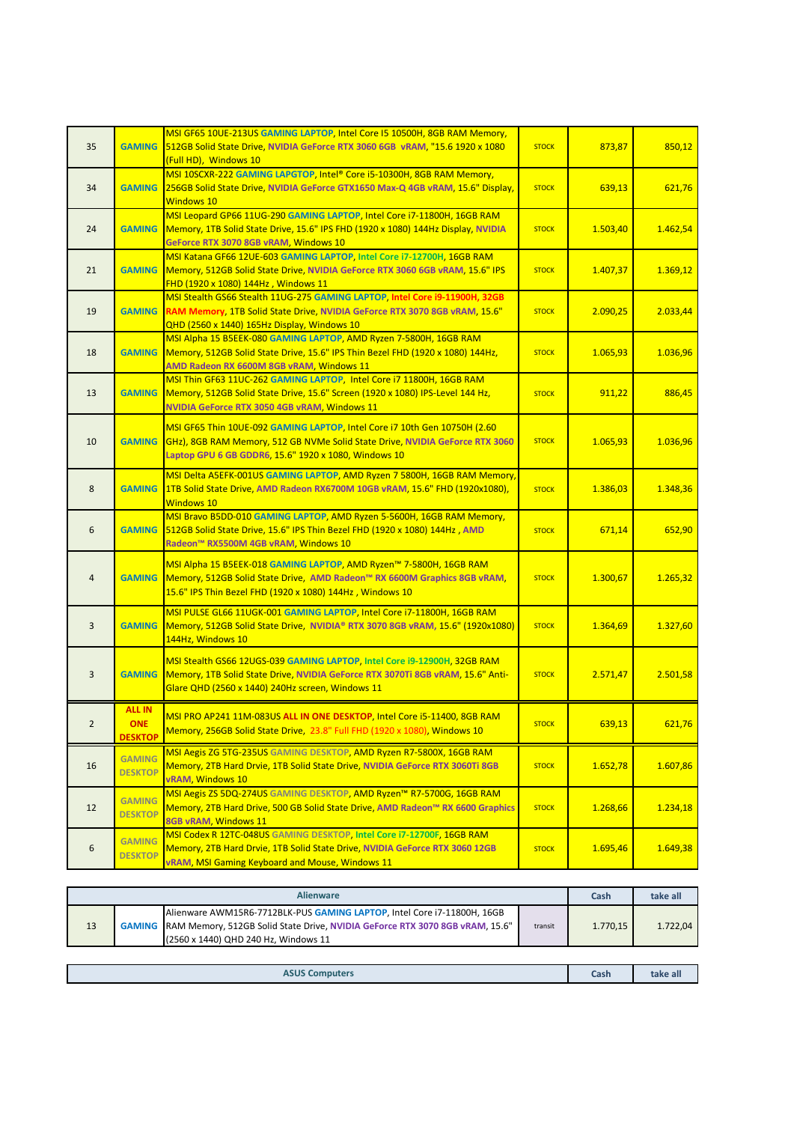| 35             |                                               | MSI GF65 10UE-213US GAMING LAPTOP, Intel Core I5 10500H, 8GB RAM Memory,<br>GAMING 512GB Solid State Drive, NVIDIA GeForce RTX 3060 6GB vRAM, "15.6 1920 x 1080<br>(Full HD), Windows 10                                 | <b>STOCK</b> | 873,87   | 850,12   |
|----------------|-----------------------------------------------|--------------------------------------------------------------------------------------------------------------------------------------------------------------------------------------------------------------------------|--------------|----------|----------|
| 34             | <b>GAMING</b>                                 | MSI 10SCXR-222 GAMING LAPGTOP, Intel® Core i5-10300H, 8GB RAM Memory,<br>256GB Solid State Drive, NVIDIA GeForce GTX1650 Max-Q 4GB vRAM, 15.6" Display,<br>Windows 10                                                    | <b>STOCK</b> | 639,13   | 621,76   |
| 24             | <b>GAMING</b>                                 | MSI Leopard GP66 11UG-290 GAMING LAPTOP, Intel Core i7-11800H, 16GB RAM<br>Memory, 1TB Solid State Drive, 15.6" IPS FHD (1920 x 1080) 144Hz Display, NVIDIA<br>GeForce RTX 3070 8GB vRAM, Windows 10                     | <b>STOCK</b> | 1.503,40 | 1.462,54 |
| 21             | <b>GAMING</b>                                 | MSI Katana GF66 12UE-603 GAMING LAPTOP, Intel Core i7-12700H, 16GB RAM<br>Memory, 512GB Solid State Drive, NVIDIA GeForce RTX 3060 6GB vRAM, 15.6" IPS<br>FHD (1920 x 1080) 144Hz, Windows 11                            | <b>STOCK</b> | 1.407,37 | 1.369,12 |
| 19             | <b>GAMING</b>                                 | MSI Stealth GS66 Stealth 11UG-275 GAMING LAPTOP, Intel Core i9-11900H, 32GB<br>RAM Memory, 1TB Solid State Drive, NVIDIA GeForce RTX 3070 8GB vRAM, 15.6"<br>QHD (2560 x 1440) 165Hz Display, Windows 10                 | <b>STOCK</b> | 2.090,25 | 2.033,44 |
| 18             | <b>GAMING</b>                                 | MSI Alpha 15 B5EEK-080 GAMING LAPTOP, AMD Ryzen 7-5800H, 16GB RAM<br>Memory, 512GB Solid State Drive, 15.6" IPS Thin Bezel FHD (1920 x 1080) 144Hz,<br>AMD Radeon RX 6600M 8GB vRAM, Windows 11                          | <b>STOCK</b> | 1.065,93 | 1.036,96 |
| 13             | <b>GAMING</b>                                 | MSI Thin GF63 11UC-262 GAMING LAPTOP, Intel Core i7 11800H, 16GB RAM<br>Memory, 512GB Solid State Drive, 15.6" Screen (1920 x 1080) IPS-Level 144 Hz,<br>NVIDIA GeForce RTX 3050 4GB vRAM, Windows 11                    | <b>STOCK</b> | 911,22   | 886,45   |
| 10             |                                               | MSI GF65 Thin 10UE-092 GAMING LAPTOP, Intel Core i7 10th Gen 10750H (2.60<br>GAMING GHz), 8GB RAM Memory, 512 GB NVMe Solid State Drive, NVIDIA GeForce RTX 3060<br>Laptop GPU 6 GB GDDR6, 15.6" 1920 x 1080, Windows 10 | <b>STOCK</b> | 1.065,93 | 1.036,96 |
| 8              | <b>GAMING</b>                                 | MSI Delta A5EFK-001US GAMING LAPTOP, AMD Ryzen 7 5800H, 16GB RAM Memory,<br>1TB Solid State Drive, AMD Radeon RX6700M 10GB vRAM, 15.6" FHD (1920x1080),<br>Windows 10                                                    | <b>STOCK</b> | 1.386,03 | 1.348,36 |
| 6              |                                               | MSI Bravo B5DD-010 GAMING LAPTOP, AMD Ryzen 5-5600H, 16GB RAM Memory,<br>GAMING 512GB Solid State Drive, 15.6" IPS Thin Bezel FHD (1920 x 1080) 144Hz, AMD<br>Radeon™ RX5500M 4GB vRAM, Windows 10                       | <b>STOCK</b> | 671,14   | 652,90   |
| $\overline{4}$ |                                               | MSI Alpha 15 B5EEK-018 GAMING LAPTOP, AMD Ryzen™ 7-5800H, 16GB RAM<br>GAMING Memory, 512GB Solid State Drive, AMD Radeon™ RX 6600M Graphics 8GB vRAM,<br>15.6" IPS Thin Bezel FHD (1920 x 1080) 144Hz, Windows 10        | <b>STOCK</b> | 1.300,67 | 1.265,32 |
| $\overline{3}$ | <b>GAMING</b>                                 | MSI PULSE GL66 11UGK-001 GAMING LAPTOP, Intel Core i7-11800H, 16GB RAM<br>Memory, 512GB Solid State Drive, NVIDIA® RTX 3070 8GB vRAM, 15.6" (1920x1080)<br>144Hz, Windows 10                                             | <b>STOCK</b> | 1.364,69 | 1.327,60 |
| $\overline{3}$ | <b>GAMING</b>                                 | MSI Stealth GS66 12UGS-039 GAMING LAPTOP, Intel Core i9-12900H, 32GB RAM<br>Memory, 1TB Solid State Drive, NVIDIA GeForce RTX 3070Ti 8GB vRAM, 15.6" Anti-<br>Glare QHD (2560 x 1440) 240Hz screen, Windows 11           | <b>STOCK</b> | 2.571,47 | 2.501,58 |
| $\mathbf{Z}$   | <b>ALL IN</b><br><b>ONE</b><br><b>DESKTOP</b> | MSI PRO AP241 11M-083US ALL IN ONE DESKTOP, Intel Core i5-11400, 8GB RAM<br>Memory, 256GB Solid State Drive, 23.8" Full FHD (1920 x 1080), Windows 10                                                                    | <b>STOCK</b> | 639,13   | 621,76   |
| 16             | <b>GAMING</b><br><b>DESKTOP</b>               | MSI Aegis ZG 5TG-235US GAMING DESKTOP, AMD Ryzen R7-5800X, 16GB RAM<br>Memory, 2TB Hard Drvie, 1TB Solid State Drive, NVIDIA GeForce RTX 3060Ti 8GB<br><b>vRAM, Windows 10</b>                                           | <b>STOCK</b> | 1.652,78 | 1.607,86 |
| 12             | <b>GAMING</b><br><b>DESKTOP</b>               | MSI Aegis ZS 5DQ-274US GAMING DESKTOP, AMD Ryzen™ R7-5700G, 16GB RAM<br>Memory, 2TB Hard Drive, 500 GB Solid State Drive, AMD Radeon™ RX 6600 Graphics<br>8GB vRAM, Windows 11                                           | <b>STOCK</b> | 1.268,66 | 1.234,18 |
| 6              | <b>GAMING</b><br><b>DESKTOP</b>               | MSI Codex R 12TC-048US GAMING DESKTOP, Intel Core i7-12700F, 16GB RAM<br>Memory, 2TB Hard Drvie, 1TB Solid State Drive, NVIDIA GeForce RTX 3060 12GB<br>vRAM, MSI Gaming Keyboard and Mouse, Windows 11                  | <b>STOCK</b> | 1.695,46 | 1.649,38 |

| <b>Alienware</b>      |                                                                                                                                                                                                                     |  |          | Cash     | take all |
|-----------------------|---------------------------------------------------------------------------------------------------------------------------------------------------------------------------------------------------------------------|--|----------|----------|----------|
| 13                    | Alienware AWM15R6-7712BLK-PUS GAMING LAPTOP, Intel Core i7-11800H, 16GB<br>GAMING   RAM Memory, 512GB Solid State Drive, NVIDIA GeForce RTX 3070 8GB vRAM, 15.6"<br>transit<br>(2560 x 1440) QHD 240 Hz, Windows 11 |  | 1.770.15 | 1.722.04 |          |
|                       |                                                                                                                                                                                                                     |  |          |          |          |
| <b>ASUS Computers</b> |                                                                                                                                                                                                                     |  | Cash     | take all |          |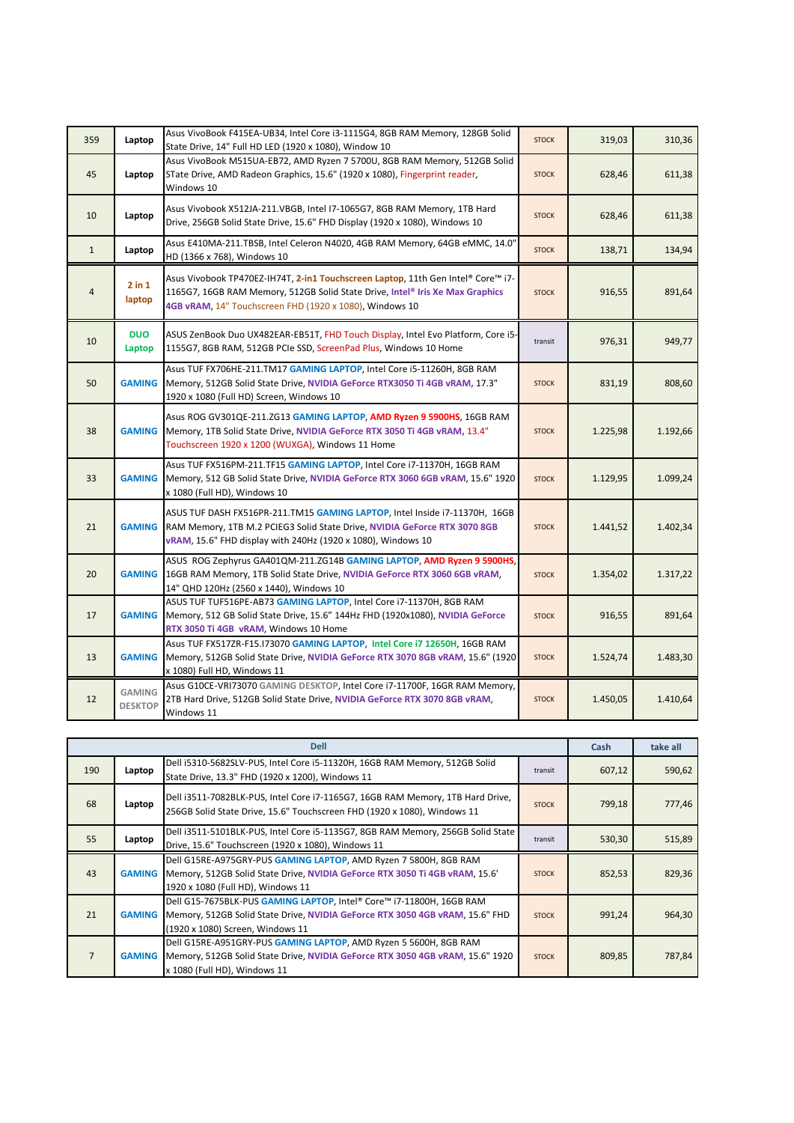| 359            | Laptop                          | Asus VivoBook F415EA-UB34, Intel Core i3-1115G4, 8GB RAM Memory, 128GB Solid<br>State Drive, 14" Full HD LED (1920 x 1080), Window 10                                                                                        | <b>STOCK</b> | 319,03   | 310,36   |
|----------------|---------------------------------|------------------------------------------------------------------------------------------------------------------------------------------------------------------------------------------------------------------------------|--------------|----------|----------|
| 45             | Laptop                          | Asus VivoBook M515UA-EB72, AMD Ryzen 7 5700U, 8GB RAM Memory, 512GB Solid<br>STate Drive, AMD Radeon Graphics, 15.6" (1920 x 1080), Fingerprint reader,<br>Windows 10                                                        | <b>STOCK</b> | 628,46   | 611,38   |
| 10             | Laptop                          | Asus Vivobook X512JA-211.VBGB, Intel I7-1065G7, 8GB RAM Memory, 1TB Hard<br>Drive, 256GB Solid State Drive, 15.6" FHD Display (1920 x 1080), Windows 10                                                                      | <b>STOCK</b> | 628,46   | 611,38   |
| $\mathbf{1}$   | Laptop                          | Asus E410MA-211.TBSB, Intel Celeron N4020, 4GB RAM Memory, 64GB eMMC, 14.0"<br>HD (1366 x 768), Windows 10                                                                                                                   | <b>STOCK</b> | 138,71   | 134,94   |
| $\overline{4}$ | $2$ in $1$<br>laptop            | Asus Vivobook TP470EZ-IH74T, 2-in1 Touchscreen Laptop, 11th Gen Intel® Core™ i7-<br>1165G7, 16GB RAM Memory, 512GB Solid State Drive, Intel® Iris Xe Max Graphics<br>4GB vRAM, 14" Touchscreen FHD (1920 x 1080), Windows 10 | <b>STOCK</b> | 916,55   | 891,64   |
| 10             | <b>DUO</b><br>Laptop            | ASUS ZenBook Duo UX482EAR-EB51T, FHD Touch Display, Intel Evo Platform, Core i5-<br>1155G7, 8GB RAM, 512GB PCIe SSD, ScreenPad Plus, Windows 10 Home                                                                         | transit      | 976,31   | 949,77   |
| 50             | <b>GAMING</b>                   | Asus TUF FX706HE-211.TM17 GAMING LAPTOP, Intel Core i5-11260H, 8GB RAM<br>Memory, 512GB Solid State Drive, NVIDIA GeForce RTX3050 Ti 4GB vRAM, 17.3"<br>1920 x 1080 (Full HD) Screen, Windows 10                             | <b>STOCK</b> | 831,19   | 808,60   |
| 38             | <b>GAMING</b>                   | Asus ROG GV301QE-211.ZG13 GAMING LAPTOP, AMD Ryzen 9 5900HS, 16GB RAM<br>Memory, 1TB Solid State Drive, NVIDIA GeForce RTX 3050 Ti 4GB vRAM, 13.4"<br>Touchscreen 1920 x 1200 (WUXGA), Windows 11 Home                       | <b>STOCK</b> | 1.225,98 | 1.192,66 |
| 33             | <b>GAMING</b>                   | Asus TUF FX516PM-211.TF15 GAMING LAPTOP, Intel Core i7-11370H, 16GB RAM<br>Memory, 512 GB Solid State Drive, NVIDIA GeForce RTX 3060 6GB vRAM, 15.6" 1920<br>x 1080 (Full HD), Windows 10                                    | <b>STOCK</b> | 1.129,95 | 1.099,24 |
| 21             | <b>GAMING</b>                   | ASUS TUF DASH FX516PR-211.TM15 GAMING LAPTOP, Intel Inside i7-11370H, 16GB<br>RAM Memory, 1TB M.2 PCIEG3 Solid State Drive, NVIDIA GeForce RTX 3070 8GB<br>vRAM, 15.6" FHD display with 240Hz (1920 x 1080), Windows 10      | <b>STOCK</b> | 1.441,52 | 1.402,34 |
| 20             | <b>GAMING</b>                   | ASUS ROG Zephyrus GA401QM-211.ZG14B GAMING LAPTOP, AMD Ryzen 9 5900HS,<br>16GB RAM Memory, 1TB Solid State Drive, NVIDIA GeForce RTX 3060 6GB vRAM,<br>14" QHD 120Hz (2560 x 1440), Windows 10                               | <b>STOCK</b> | 1.354,02 | 1.317,22 |
| 17             | <b>GAMING</b>                   | ASUS TUF TUF516PE-AB73 GAMING LAPTOP, Intel Core i7-11370H, 8GB RAM<br>Memory, 512 GB Solid State Drive, 15.6" 144Hz FHD (1920x1080), NVIDIA GeForce<br>RTX 3050 Ti 4GB vRAM, Windows 10 Home                                | <b>STOCK</b> | 916,55   | 891,64   |
| 13             | <b>GAMING</b>                   | Asus TUF FX517ZR-F15.173070 GAMING LAPTOP, Intel Core i7 12650H, 16GB RAM<br>Memory, 512GB Solid State Drive, NVIDIA GeForce RTX 3070 8GB vRAM, 15.6" (1920<br>x 1080) Full HD, Windows 11                                   | <b>STOCK</b> | 1.524,74 | 1.483,30 |
| 12             | <b>GAMING</b><br><b>DESKTOP</b> | Asus G10CE-VRI73070 GAMING DESKTOP, Intel Core i7-11700F, 16GR RAM Memory,<br>2TB Hard Drive, 512GB Solid State Drive, NVIDIA GeForce RTX 3070 8GB vRAM,<br>Windows 11                                                       | <b>STOCK</b> | 1.450,05 | 1.410,64 |

| <b>Dell</b>    |               |                                                                                                                                                                                          |              | Cash   | take all |
|----------------|---------------|------------------------------------------------------------------------------------------------------------------------------------------------------------------------------------------|--------------|--------|----------|
| 190            | Laptop        | Dell i5310-5682SLV-PUS, Intel Core i5-11320H, 16GB RAM Memory, 512GB Solid<br>State Drive, 13.3" FHD (1920 x 1200), Windows 11                                                           | transit      | 607,12 | 590,62   |
| 68             | Laptop        | Dell i3511-7082BLK-PUS, Intel Core i7-1165G7, 16GB RAM Memory, 1TB Hard Drive,<br>256GB Solid State Drive, 15.6" Touchscreen FHD (1920 x 1080), Windows 11                               | <b>STOCK</b> | 799,18 | 777,46   |
| 55             | Laptop        | Dell i3511-5101BLK-PUS, Intel Core i5-1135G7, 8GB RAM Memory, 256GB Solid State<br>Drive, 15.6" Touchscreen (1920 x 1080), Windows 11                                                    | transit      | 530,30 | 515,89   |
| 43             | <b>GAMING</b> | Dell G15RE-A975GRY-PUS GAMING LAPTOP, AMD Ryzen 7 5800H, 8GB RAM<br>Memory, 512GB Solid State Drive, NVIDIA GeForce RTX 3050 Ti 4GB vRAM, 15.6<br>1920 x 1080 (Full HD), Windows 11      | <b>STOCK</b> | 852,53 | 829,36   |
| 21             | <b>GAMING</b> | Dell G15-7675BLK-PUS GAMING LAPTOP, Intel® Core™ i7-11800H, 16GB RAM<br>Memory, 512GB Solid State Drive, NVIDIA GeForce RTX 3050 4GB vRAM, 15.6" FHD<br>(1920 x 1080) Screen, Windows 11 | <b>STOCK</b> | 991,24 | 964,30   |
| $\overline{7}$ | <b>GAMING</b> | Dell G15RE-A951GRY-PUS GAMING LAPTOP, AMD Ryzen 5 5600H, 8GB RAM<br>Memory, 512GB Solid State Drive, NVIDIA GeForce RTX 3050 4GB vRAM, 15.6" 1920<br>x 1080 (Full HD), Windows 11        | <b>STOCK</b> | 809,85 | 787,84   |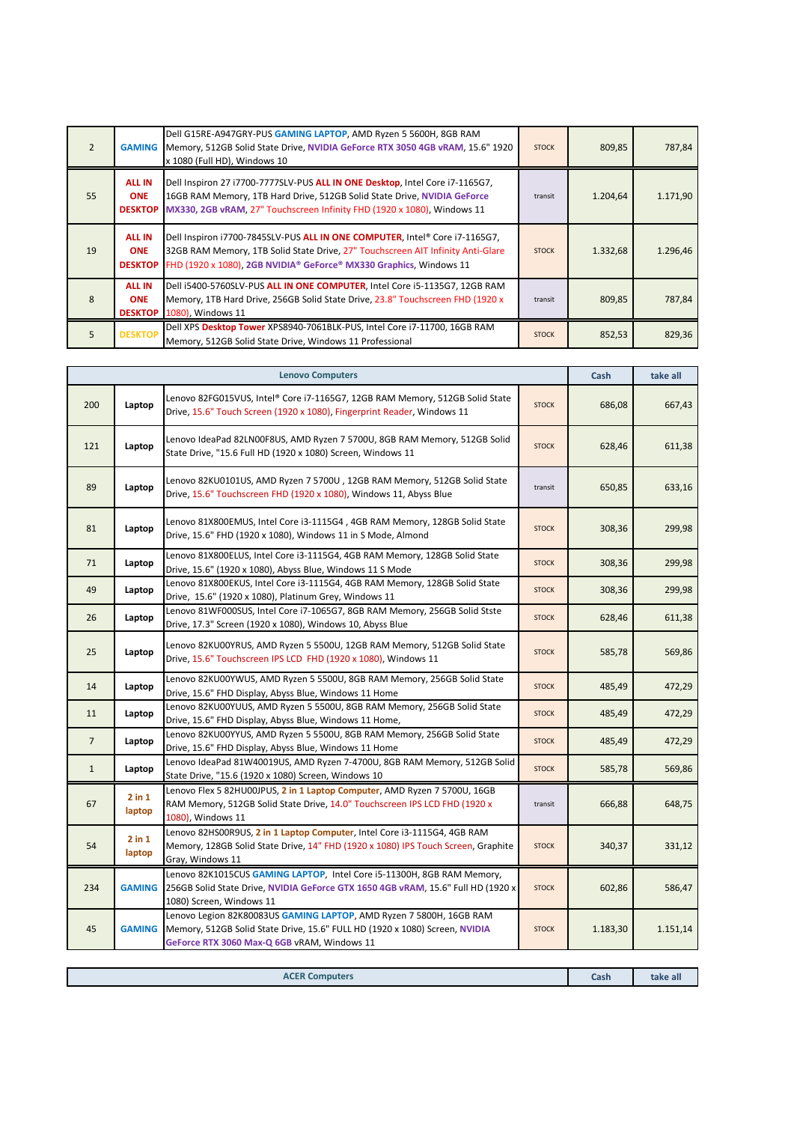| $\overline{2}$ | <b>GAMING</b>                                 | Dell G15RE-A947GRY-PUS GAMING LAPTOP, AMD Ryzen 5 5600H, 8GB RAM<br>Memory, 512GB Solid State Drive, NVIDIA GeForce RTX 3050 4GB vRAM, 15.6" 1920<br>x 1080 (Full HD), Windows 10                                                    | <b>STOCK</b> | 809,85   | 787,84   |
|----------------|-----------------------------------------------|--------------------------------------------------------------------------------------------------------------------------------------------------------------------------------------------------------------------------------------|--------------|----------|----------|
| 55             | <b>ALL IN</b><br><b>ONE</b><br><b>DESKTOP</b> | Dell Inspiron 27 i7700-7777SLV-PUS ALL IN ONE Desktop, Intel Core i7-1165G7,<br>16GB RAM Memory, 1TB Hard Drive, 512GB Solid State Drive, NVIDIA GeForce<br>MX330, 2GB vRAM, 27" Touchscreen Infinity FHD (1920 x 1080), Windows 11  | transit      | 1.204,64 | 1.171,90 |
| 19             | <b>ALL IN</b><br><b>ONE</b><br><b>DESKTOP</b> | Dell Inspiron i7700-7845SLV-PUS ALL IN ONE COMPUTER, Intel® Core i7-1165G7,<br>32GB RAM Memory, 1TB Solid State Drive, 27" Touchscreen AIT Infinity Anti-Glare<br>FHD (1920 x 1080), 2GB NVIDIA® GeForce® MX330 Graphics, Windows 11 | <b>STOCK</b> | 1.332,68 | 1.296,46 |
| $\mathsf{R}$   | <b>ALL IN</b><br><b>ONE</b>                   | Dell i5400-5760SLV-PUS ALL IN ONE COMPUTER, Intel Core i5-1135G7, 12GB RAM<br>Memory, 1TB Hard Drive, 256GB Solid State Drive, 23.8" Touchscreen FHD (1920 x<br>DESKTOP 1080), Windows 11                                            | transit      | 809,85   | 787,84   |
|                | <b>DESKTOP</b>                                | Dell XPS Desktop Tower XPS8940-7061BLK-PUS, Intel Core i7-11700, 16GB RAM<br>Memory, 512GB Solid State Drive, Windows 11 Professional                                                                                                | <b>STOCK</b> | 852,53   | 829,36   |

| <b>Lenovo Computers</b> |                      |                                                                                                                                                                                                   |              | Cash     | take all |
|-------------------------|----------------------|---------------------------------------------------------------------------------------------------------------------------------------------------------------------------------------------------|--------------|----------|----------|
| 200                     | Laptop               | Lenovo 82FG015VUS, Intel® Core i7-1165G7, 12GB RAM Memory, 512GB Solid State<br>Drive, 15.6" Touch Screen (1920 x 1080), Fingerprint Reader, Windows 11                                           | <b>STOCK</b> | 686,08   | 667,43   |
| 121                     | Laptop               | Lenovo IdeaPad 82LN00F8US, AMD Ryzen 7 5700U, 8GB RAM Memory, 512GB Solid<br>State Drive, "15.6 Full HD (1920 x 1080) Screen, Windows 11                                                          | <b>STOCK</b> | 628,46   | 611,38   |
| 89                      | Laptop               | Lenovo 82KU0101US, AMD Ryzen 7 5700U, 12GB RAM Memory, 512GB Solid State<br>Drive, 15.6" Touchscreen FHD (1920 x 1080), Windows 11, Abyss Blue                                                    | transit      | 650,85   | 633,16   |
| 81                      | Laptop               | Lenovo 81X800EMUS, Intel Core i3-1115G4, 4GB RAM Memory, 128GB Solid State<br>Drive, 15.6" FHD (1920 x 1080), Windows 11 in S Mode, Almond                                                        | <b>STOCK</b> | 308,36   | 299,98   |
| 71                      | Laptop               | Lenovo 81X800ELUS, Intel Core i3-1115G4, 4GB RAM Memory, 128GB Solid State<br>Drive, 15.6" (1920 x 1080), Abyss Blue, Windows 11 S Mode                                                           | <b>STOCK</b> | 308,36   | 299,98   |
| 49                      | Laptop               | Lenovo 81X800EKUS, Intel Core i3-1115G4, 4GB RAM Memory, 128GB Solid State<br>Drive, 15.6" (1920 x 1080), Platinum Grey, Windows 11                                                               | <b>STOCK</b> | 308,36   | 299,98   |
| 26                      | Laptop               | Lenovo 81WF000SUS, Intel Core i7-1065G7, 8GB RAM Memory, 256GB Solid Stste<br>Drive, 17.3" Screen (1920 x 1080), Windows 10, Abyss Blue                                                           | <b>STOCK</b> | 628,46   | 611,38   |
| 25                      | Laptop               | Lenovo 82KU00YRUS, AMD Ryzen 5 5500U, 12GB RAM Memory, 512GB Solid State<br>Drive, 15.6" Touchscreen IPS LCD FHD (1920 x 1080), Windows 11                                                        | <b>STOCK</b> | 585,78   | 569,86   |
| 14                      | Laptop               | Lenovo 82KU00YWUS, AMD Ryzen 5 5500U, 8GB RAM Memory, 256GB Solid State<br>Drive, 15.6" FHD Display, Abyss Blue, Windows 11 Home                                                                  | <b>STOCK</b> | 485,49   | 472,29   |
| 11                      | Laptop               | Lenovo 82KU00YUUS, AMD Ryzen 5 5500U, 8GB RAM Memory, 256GB Solid State<br>Drive, 15.6" FHD Display, Abyss Blue, Windows 11 Home,                                                                 | <b>STOCK</b> | 485,49   | 472,29   |
| $\overline{7}$          | Laptop               | Lenovo 82KU00YYUS, AMD Ryzen 5 5500U, 8GB RAM Memory, 256GB Solid State<br>Drive, 15.6" FHD Display, Abyss Blue, Windows 11 Home                                                                  | <b>STOCK</b> | 485,49   | 472,29   |
| $\mathbf{1}$            | Laptop               | Lenovo IdeaPad 81W40019US, AMD Ryzen 7-4700U, 8GB RAM Memory, 512GB Solid<br>State Drive, "15.6 (1920 x 1080) Screen, Windows 10                                                                  | <b>STOCK</b> | 585,78   | 569,86   |
| 67                      | $2$ in $1$<br>laptop | Lenovo Flex 5 82HU00JPUS, 2 in 1 Laptop Computer, AMD Ryzen 7 5700U, 16GB<br>RAM Memory, 512GB Solid State Drive, 14.0" Touchscreen IPS LCD FHD (1920 x<br>1080), Windows 11                      | transit      | 666,88   | 648,75   |
| 54                      | $2$ in $1$<br>laptop | Lenovo 82HS00R9US, 2 in 1 Laptop Computer, Intel Core i3-1115G4, 4GB RAM<br>Memory, 128GB Solid State Drive, 14" FHD (1920 x 1080) IPS Touch Screen, Graphite<br>Gray, Windows 11                 | <b>STOCK</b> | 340,37   | 331,12   |
| 234                     | <b>GAMING</b>        | Lenovo 82K1015CUS GAMING LAPTOP, Intel Core i5-11300H, 8GB RAM Memory,<br>256GB Solid State Drive, NVIDIA GeForce GTX 1650 4GB vRAM, 15.6" Full HD (1920 x<br>1080) Screen, Windows 11            | <b>STOCK</b> | 602,86   | 586,47   |
| 45                      | <b>GAMING</b>        | Lenovo Legion 82K80083US GAMING LAPTOP, AMD Ryzen 7 5800H, 16GB RAM<br>Memory, 512GB Solid State Drive, 15.6" FULL HD (1920 x 1080) Screen, NVIDIA<br>GeForce RTX 3060 Max-Q 6GB vRAM, Windows 11 | <b>STOCK</b> | 1.183,30 | 1.151,14 |
|                         |                      |                                                                                                                                                                                                   |              |          |          |
| <b>ACER Computers</b>   |                      |                                                                                                                                                                                                   |              | Cash     | take all |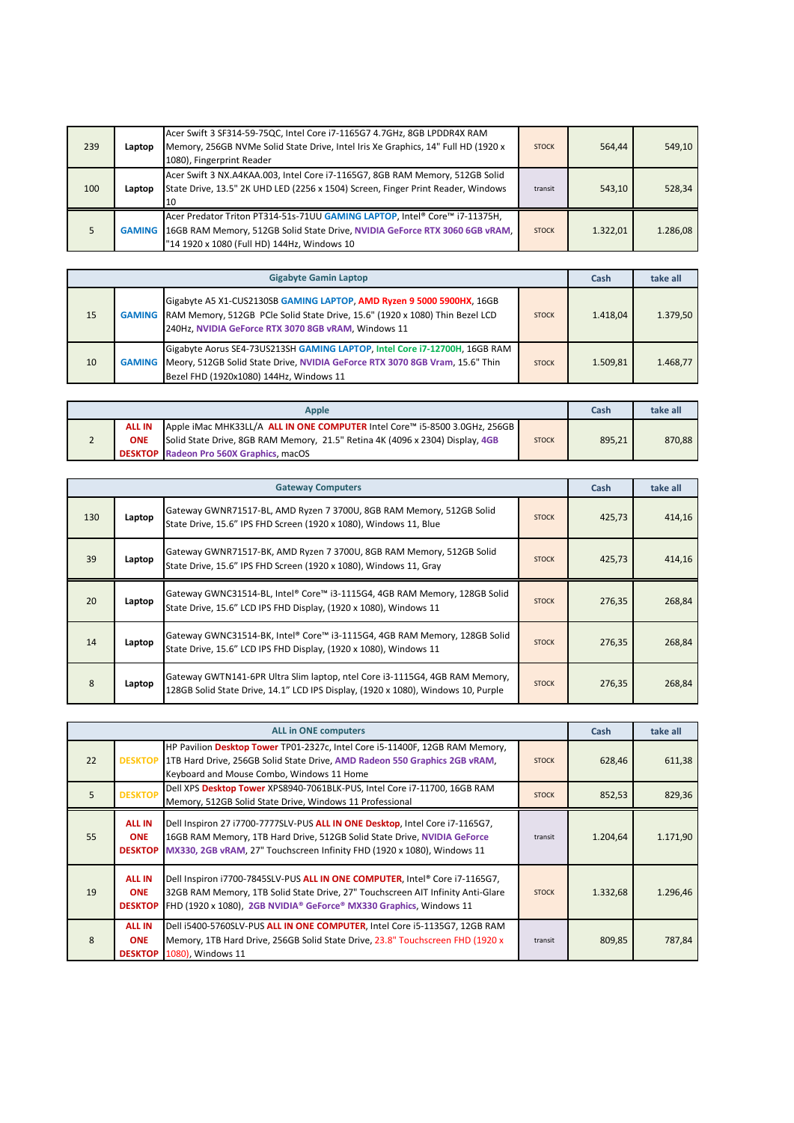| 239 | Laptop | Acer Swift 3 SF314-59-75QC, Intel Core i7-1165G7 4.7GHz, 8GB LPDDR4X RAM<br>Memory, 256GB NVMe Solid State Drive, Intel Iris Xe Graphics, 14" Full HD (1920 x<br>1080), Fingerprint Reader                      | <b>STOCK</b> | 564.44   | 549,10   |
|-----|--------|-----------------------------------------------------------------------------------------------------------------------------------------------------------------------------------------------------------------|--------------|----------|----------|
| 100 | Laptop | Acer Swift 3 NX.A4KAA.003, Intel Core i7-1165G7, 8GB RAM Memory, 512GB Solid<br>State Drive, 13.5" 2K UHD LED (2256 x 1504) Screen, Finger Print Reader, Windows<br>10                                          | transit      | 543.10   | 528,34   |
|     |        | Acer Predator Triton PT314-51s-71UU GAMING LAPTOP, Intel® Core™ i7-11375H,<br>GAMING 16GB RAM Memory, 512GB Solid State Drive, NVIDIA GeForce RTX 3060 6GB vRAM.<br>"14 1920 x 1080 (Full HD) 144Hz, Windows 10 | <b>STOCK</b> | 1.322,01 | 1.286,08 |

| <b>Gigabyte Gamin Laptop</b> |               |                                                                                                                                                                                                                     |              |          | take all |
|------------------------------|---------------|---------------------------------------------------------------------------------------------------------------------------------------------------------------------------------------------------------------------|--------------|----------|----------|
| 15                           |               | Gigabyte A5 X1-CUS2130SB GAMING LAPTOP, AMD Ryzen 9 5000 5900HX, 16GB<br>GAMING RAM Memory, 512GB PCle Solid State Drive, 15.6" (1920 x 1080) Thin Bezel LCD<br>240Hz, NVIDIA GeForce RTX 3070 8GB vRAM, Windows 11 | <b>STOCK</b> | 1.418.04 | 1.379.50 |
| 10                           | <b>GAMING</b> | Gigabyte Aorus SE4-73US213SH GAMING LAPTOP, Intel Core i7-12700H, 16GB RAM<br>Meory, 512GB Solid State Drive, NVIDIA GeForce RTX 3070 8GB Vram, 15.6" Thin<br>Bezel FHD (1920x1080) 144Hz, Windows 11               | <b>STOCK</b> | 1.509.81 | 1.468.77 |

| Apple         |                                                                               |              |        | take all |
|---------------|-------------------------------------------------------------------------------|--------------|--------|----------|
| <b>ALL IN</b> | Apple iMac MHK33LL/A ALL IN ONE COMPUTER Intel Core™ i5-8500 3.0GHz, 256GB    |              |        |          |
| <b>ONE</b>    | Solid State Drive, 8GB RAM Memory, 21.5" Retina 4K (4096 x 2304) Display, 4GB | <b>STOCK</b> | 895.21 | 870.88   |
|               | <b>DESKTOP</b> Radeon Pro 560X Graphics, macOS                                |              |        |          |

|     | <b>Gateway Computers</b> |                                                                                                                                                                  |              | Cash   | take all |
|-----|--------------------------|------------------------------------------------------------------------------------------------------------------------------------------------------------------|--------------|--------|----------|
| 130 | Laptop                   | Gateway GWNR71517-BL, AMD Ryzen 7 3700U, 8GB RAM Memory, 512GB Solid<br>State Drive, 15.6" IPS FHD Screen (1920 x 1080), Windows 11, Blue                        | <b>STOCK</b> | 425,73 | 414,16   |
| 39  | Laptop                   | Gateway GWNR71517-BK, AMD Ryzen 7 3700U, 8GB RAM Memory, 512GB Solid<br>State Drive, 15.6" IPS FHD Screen (1920 x 1080), Windows 11, Gray                        | <b>STOCK</b> | 425,73 | 414,16   |
| 20  | Laptop                   | Gateway GWNC31514-BL, Intel® Core™ i3-1115G4, 4GB RAM Memory, 128GB Solid<br>State Drive, 15.6" LCD IPS FHD Display, (1920 x 1080), Windows 11                   | <b>STOCK</b> | 276,35 | 268,84   |
| 14  | Laptop                   | Gateway GWNC31514-BK, Intel® Core™ i3-1115G4, 4GB RAM Memory, 128GB Solid<br>State Drive, 15.6" LCD IPS FHD Display, (1920 x 1080), Windows 11                   | <b>STOCK</b> | 276,35 | 268,84   |
| 8   | Laptop                   | Gateway GWTN141-6PR Ultra Slim laptop, ntel Core i3-1115G4, 4GB RAM Memory,<br>128GB Solid State Drive, 14.1" LCD IPS Display, (1920 x 1080), Windows 10, Purple | <b>STOCK</b> | 276,35 | 268,84   |

| <b>ALL in ONE computers</b> |                                               |                                                                                                                                                                                                                                      | Cash         | take all |          |
|-----------------------------|-----------------------------------------------|--------------------------------------------------------------------------------------------------------------------------------------------------------------------------------------------------------------------------------------|--------------|----------|----------|
| 22                          | <b>DESKTOP</b>                                | HP Pavilion Desktop Tower TP01-2327c, Intel Core i5-11400F, 12GB RAM Memory,<br>1TB Hard Drive, 256GB Solid State Drive, AMD Radeon 550 Graphics 2GB vRAM.<br>Keyboard and Mouse Combo, Windows 11 Home                              | <b>STOCK</b> | 628,46   | 611,38   |
| 5                           | <b>DESKTOP</b>                                | Dell XPS Desktop Tower XPS8940-7061BLK-PUS, Intel Core i7-11700, 16GB RAM<br>Memory, 512GB Solid State Drive, Windows 11 Professional                                                                                                | <b>STOCK</b> | 852,53   | 829,36   |
| 55                          | <b>ALL IN</b><br><b>ONE</b><br><b>DESKTOP</b> | Dell Inspiron 27 i7700-7777SLV-PUS ALL IN ONE Desktop, Intel Core i7-1165G7,<br>16GB RAM Memory, 1TB Hard Drive, 512GB Solid State Drive, NVIDIA GeForce<br>MX330, 2GB vRAM, 27" Touchscreen Infinity FHD (1920 x 1080), Windows 11  | transit      | 1.204,64 | 1.171,90 |
| 19                          | <b>ALL IN</b><br><b>ONE</b><br><b>DESKTOP</b> | Dell Inspiron i7700-7845SLV-PUS ALL IN ONE COMPUTER, Intel® Core i7-1165G7,<br>32GB RAM Memory, 1TB Solid State Drive, 27" Touchscreen AIT Infinity Anti-Glare<br>FHD (1920 x 1080), 2GB NVIDIA® GeForce® MX330 Graphics, Windows 11 | <b>STOCK</b> | 1.332,68 | 1.296,46 |
| $\mathsf{R}$                | <b>ALL IN</b><br><b>ONE</b><br><b>DESKTOP</b> | Dell i5400-5760SLV-PUS ALL IN ONE COMPUTER, Intel Core i5-1135G7, 12GB RAM<br>Memory, 1TB Hard Drive, 256GB Solid State Drive, 23.8" Touchscreen FHD (1920 x<br>1080). Windows 11                                                    | transit      | 809,85   | 787,84   |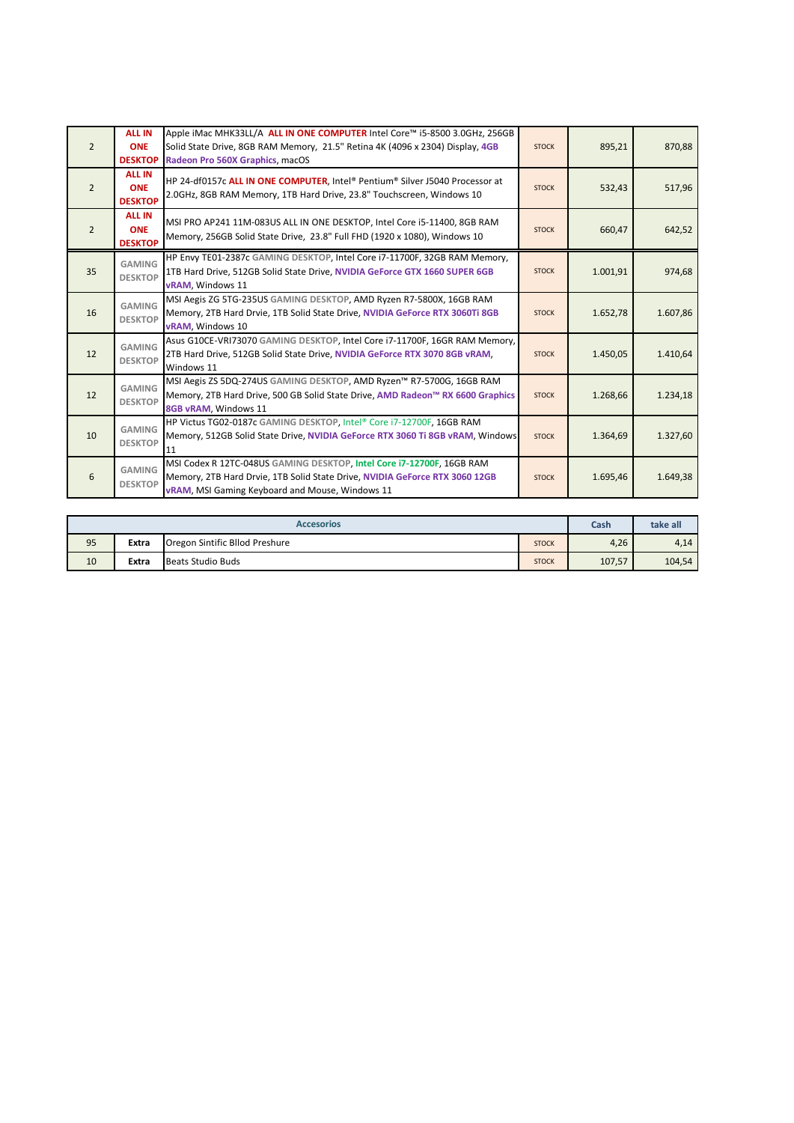| $\overline{2}$ | <b>ALL IN</b><br><b>ONE</b><br><b>DESKTOP</b> | Apple iMac MHK33LL/A ALL IN ONE COMPUTER Intel Core™ i5-8500 3.0GHz, 256GB<br>Solid State Drive, 8GB RAM Memory, 21.5" Retina 4K (4096 x 2304) Display, 4GB<br>Radeon Pro 560X Graphics, macOS          | <b>STOCK</b> | 895,21   | 870,88   |
|----------------|-----------------------------------------------|---------------------------------------------------------------------------------------------------------------------------------------------------------------------------------------------------------|--------------|----------|----------|
| $\overline{2}$ | <b>ALL IN</b><br><b>ONE</b><br><b>DESKTOP</b> | HP 24-df0157c ALL IN ONE COMPUTER, Intel® Pentium® Silver J5040 Processor at<br>2.0GHz, 8GB RAM Memory, 1TB Hard Drive, 23.8" Touchscreen, Windows 10                                                   | <b>STOCK</b> | 532,43   | 517,96   |
| $\overline{2}$ | <b>ALL IN</b><br><b>ONE</b><br><b>DESKTOP</b> | MSI PRO AP241 11M-083US ALL IN ONE DESKTOP, Intel Core i5-11400, 8GB RAM<br>Memory, 256GB Solid State Drive, 23.8" Full FHD (1920 x 1080), Windows 10                                                   | <b>STOCK</b> | 660,47   | 642,52   |
| 35             | <b>GAMING</b><br><b>DESKTOP</b>               | HP Envy TE01-2387c GAMING DESKTOP, Intel Core i7-11700F, 32GB RAM Memory,<br>1TB Hard Drive, 512GB Solid State Drive, NVIDIA GeForce GTX 1660 SUPER 6GB<br><b>vRAM</b> . Windows 11                     | <b>STOCK</b> | 1.001,91 | 974,68   |
| 16             | <b>GAMING</b><br><b>DESKTOP</b>               | MSI Aegis ZG 5TG-235US GAMING DESKTOP, AMD Ryzen R7-5800X, 16GB RAM<br>Memory, 2TB Hard Drvie, 1TB Solid State Drive, NVIDIA GeForce RTX 3060Ti 8GB<br>vRAM, Windows 10                                 | <b>STOCK</b> | 1.652,78 | 1.607,86 |
| 12             | <b>GAMING</b><br><b>DESKTOP</b>               | Asus G10CE-VRI73070 GAMING DESKTOP, Intel Core i7-11700F, 16GR RAM Memory,<br>2TB Hard Drive, 512GB Solid State Drive, NVIDIA GeForce RTX 3070 8GB vRAM,<br>Windows 11                                  | <b>STOCK</b> | 1.450,05 | 1.410,64 |
| 12             | <b>GAMING</b><br><b>DESKTOP</b>               | MSI Aegis ZS 5DQ-274US GAMING DESKTOP, AMD Ryzen™ R7-5700G, 16GB RAM<br>Memory, 2TB Hard Drive, 500 GB Solid State Drive, AMD Radeon™ RX 6600 Graphics<br>8GB vRAM, Windows 11                          | <b>STOCK</b> | 1.268,66 | 1.234,18 |
| 10             | <b>GAMING</b><br><b>DESKTOP</b>               | HP Victus TG02-0187c GAMING DESKTOP, Intel® Core i7-12700F, 16GB RAM<br>Memory, 512GB Solid State Drive, NVIDIA GeForce RTX 3060 Ti 8GB vRAM, Windows<br>11                                             | <b>STOCK</b> | 1.364,69 | 1.327,60 |
| 6              | <b>GAMING</b><br><b>DESKTOP</b>               | MSI Codex R 12TC-048US GAMING DESKTOP, Intel Core i7-12700F, 16GB RAM<br>Memory, 2TB Hard Drvie, 1TB Solid State Drive, NVIDIA GeForce RTX 3060 12GB<br>vRAM, MSI Gaming Keyboard and Mouse, Windows 11 | <b>STOCK</b> | 1.695,46 | 1.649,38 |

| <b>Accesorios</b> |       |                                | Cash         | take all |        |
|-------------------|-------|--------------------------------|--------------|----------|--------|
| 95                | Extra | Oregon Sintific Bllod Preshure | <b>STOCK</b> | 4,26     | 4,14   |
| 10                | Extra | <b>Beats Studio Buds</b>       | <b>STOCK</b> | 107,57   | 104,54 |